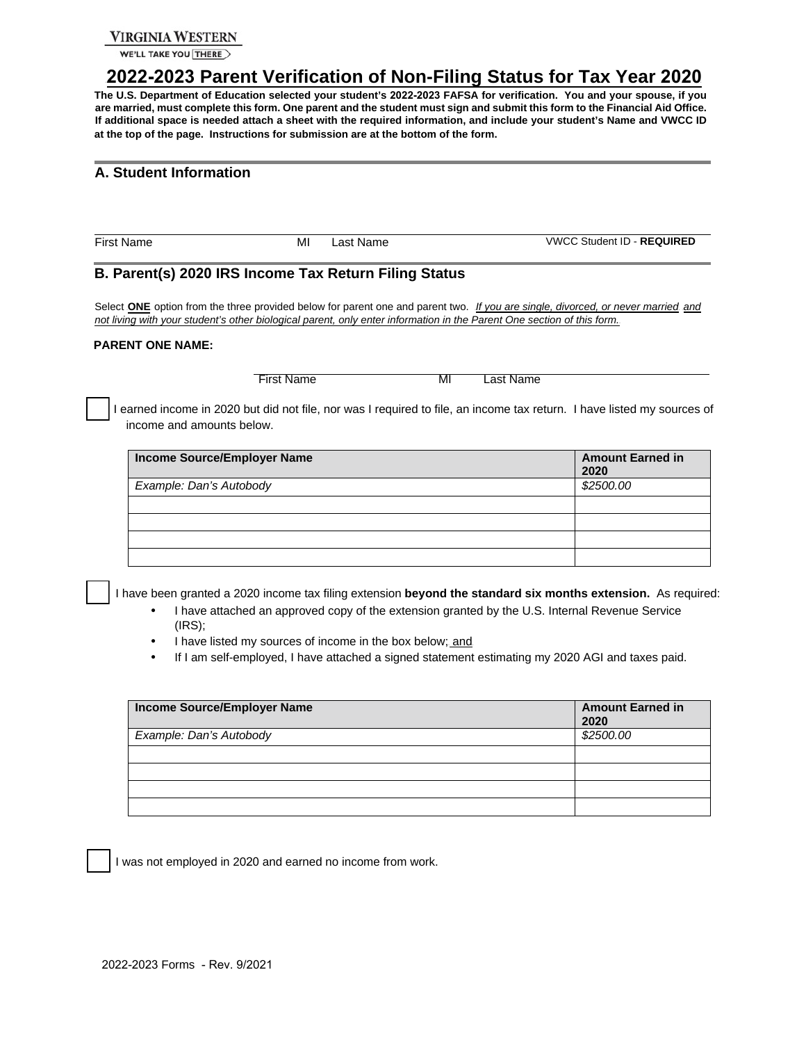### **VIRGINIA WESTERN**

WE'LL TAKE YOU THERE

# <sup>U</sup>**2022-2023 Parent Verification of Non-Filing Status for Tax Year 2020**<sup>U</sup>

**The U.S. Department of Education selected your student's 2022-2023 FAFSA for verification. You and your spouse, if you are married, must complete this form. One parent and the student must sign and submit this form to the Financial Aid Office. If additional space is needed attach a sheet with the required information, and include your student's Name and VWCC ID at the top of the page. Instructions for submission are at the bottom of the form.** 

### **A. Student Information**

First Name MI Last Name VWCC Student ID - **REQUIRED** 

### **B. Parent(s) 2020 IRS Income Tax Return Filing Status**

Select **ONE** option from the three provided below for parent one and parent two. If you are single, divorced, or never married and *not living with your student's other biological parent, only enter information in the Parent One section of this form.* <sup>U</sup>

#### **PARENT ONE NAME:**

First Name MI Last Name

I earned income in 2020 but did not file, nor was I required to file, an income tax return. I have listed my sources of income and amounts below.

| Income Source/Employer Name | <b>Amount Earned in</b><br>2020 |
|-----------------------------|---------------------------------|
| Example: Dan's Autobody     | \$2500.00                       |
|                             |                                 |
|                             |                                 |
|                             |                                 |
|                             |                                 |

I have been granted a 2020 income tax filing extension **beyond the standard six months extension.** As required:

- I have attached an approved copy of the extension granted by the U.S. Internal Revenue Service (IRS);
- I have listed my sources of income in the box below; and
- If I am self-employed, I have attached a signed statement estimating my 2020 AGI and taxes paid.

| Income Source/Employer Name | <b>Amount Earned in</b><br>2020 |
|-----------------------------|---------------------------------|
| Example: Dan's Autobody     | \$2500.00                       |
|                             |                                 |
|                             |                                 |
|                             |                                 |
|                             |                                 |

I was not employed in 2020 and earned no income from work.